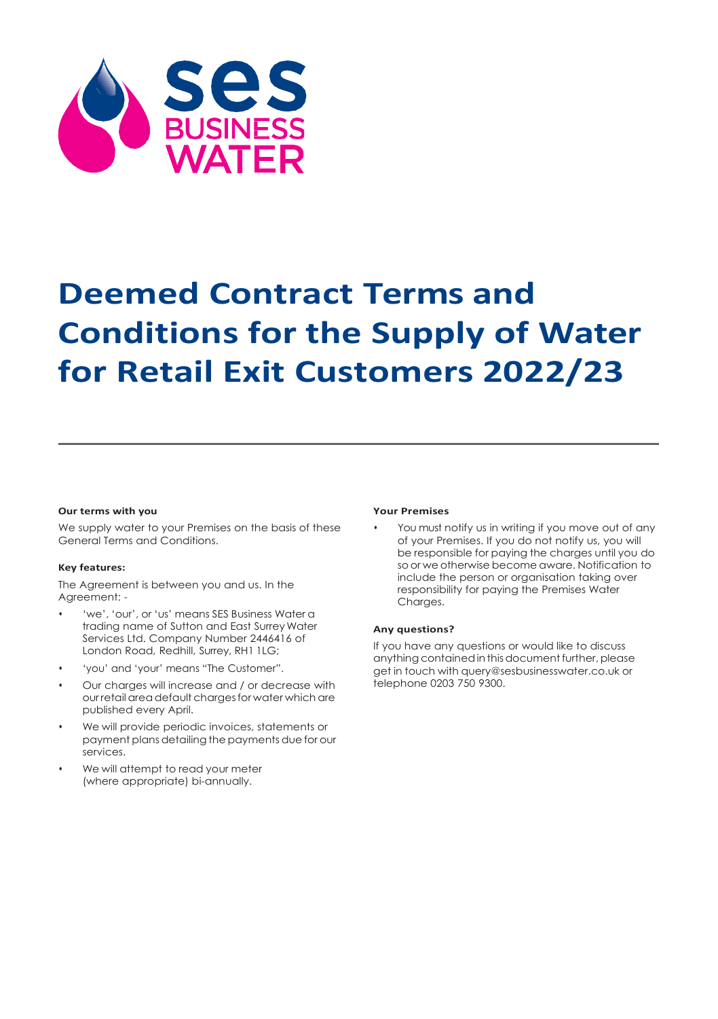

# **Deemed Contract Terms and Conditions for the Supply of Water for Retail Exit Customers 2022/23**

#### **Our terms with you**

We supply water to your Premises on the basis of these General Terms and Conditions.

#### **Key features:**

The Agreement is between you and us. In the Agreement: -

- 'we', 'our', or 'us' means SES Business Water a trading name of Sutton and East SurreyWater Services Ltd. Company Number 2446416 of London Road, Redhill, Surrey, RH1 1LG;
- 'you' and 'your' means "The Customer".
- Our charges will increase and / or decrease with our retail area default charges for water which are published every April.
- We will provide periodic invoices, statements or payment plans detailing the payments due for our services.
- We will attempt to read your meter (where appropriate) bi-annually.

#### **Your Premises**

You must notify us in writing if you move out of any of your Premises. If you do not notify us, you will be responsible for paying the charges until you do so or we otherwise become aware. Notification to include the person or organisation taking over responsibility for paying the Premises Water Charges.

#### **Any questions?**

If you have any questions or would like to discuss anything contained in this document further, please get in touch with [query@sesbusinesswater.co.uk](mailto:query@sesbusinesswater.co.uk) or telephone 0203 750 9300.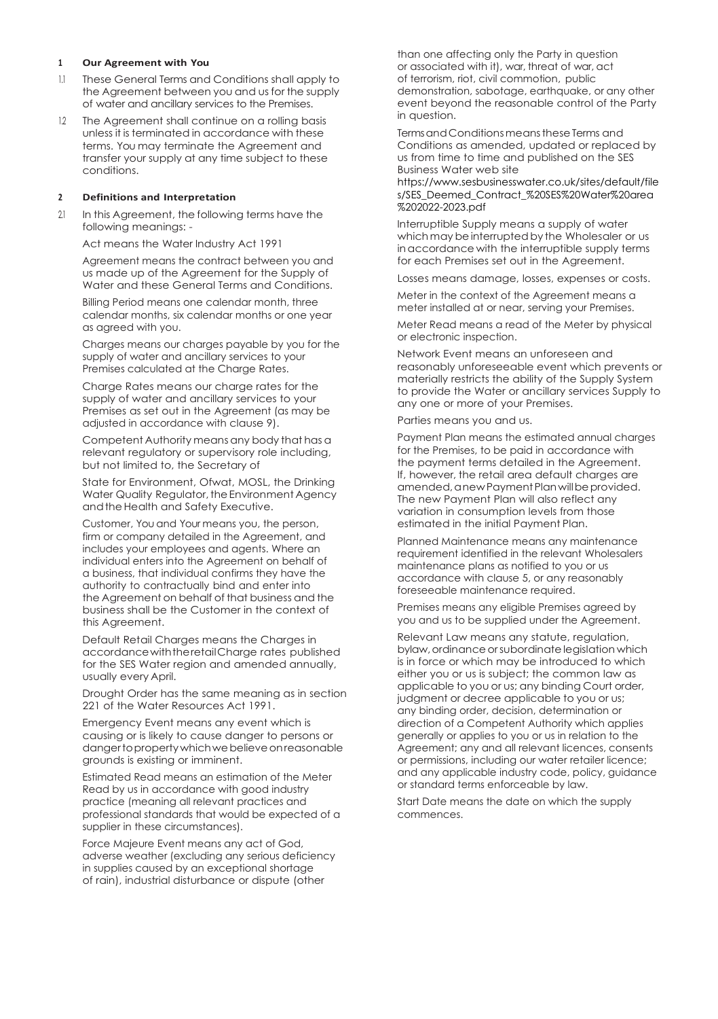#### **<sup>1</sup> Our Agreement with You**

- 1.1 These General Terms and Conditions shall apply to the Agreement between you and us for the supply of water and ancillary services to the Premises.
- 12 The Agreement shall continue on a rolling basis unless it is terminated in accordance with these terms. You may terminate the Agreement and transfer your supply at any time subject to these conditions.

#### **<sup>2</sup> Definitions and Interpretation**

2.1 In this Agreement, the following terms have the following meanings: -

Act means the Water Industry Act 1991

Agreement means the contract between you and us made up of the Agreement for the Supply of Water and these General Terms and Conditions.

Billing Period means one calendar month, three calendar months, six calendar months or one year as agreed with you.

Charges means our charges payable by you for the supply of water and ancillary services to your Premises calculated at the Charge Rates.

Charge Rates means our charge rates for the supply of water and ancillary services to your Premises as set out in the Agreement (as may be adjusted in accordance with clause 9).

Competent Authority meansany body that has a relevant regulatory or supervisory role including, but not limited to, the Secretary of

State for Environment, Ofwat, MOSL, the Drinking Water Quality Regulator, the Environment Agency andtheHealth and Safety Executive.

Customer, You and Your means you, the person, firm or company detailed in the Agreement, and includes your employees and agents. Where an individual enters into the Agreement on behalf of a business, that individual confirms they have the authority to contractually bind and enter into the Agreement on behalf of that business and the business shall be the Customer in the context of this Agreement.

Default Retail Charges means the Charges in accordancewiththeretailCharge rates published for the SES Water region and amended annually, usually every April.

Drought Order has the same meaning as in section 221 of the Water Resources Act 1991.

Emergency Event means any event which is causing or is likely to cause danger to persons or dangertopropertywhichwebelieveonreasonable grounds is existing or imminent.

Estimated Read means an estimation of the Meter Read by us in accordance with good industry practice (meaning all relevant practices and professional standards that would be expected of a supplier in these circumstances).

Force Majeure Event means any act of God, adverse weather (excluding any serious deficiency in supplies caused by an exceptional shortage of rain), industrial disturbance or dispute (other

than one affecting only the Party in question or associated with it), war, threat of war, act of terrorism, riot, civil commotion, public demonstration, sabotage, earthquake, or any other event beyond the reasonable control of the Party in question.

Terms and Conditions means these Terms and Conditions as amended, updated or replaced by us from time to time and published on the SES Business Water web site

https://www.sesbusinesswater.co.uk/sites/default/file s/SES\_Deemed\_Contract\_%20SES%20Water%20area %202022-2023.pdf

Interruptible Supply means a supply of water which may be interrupted by the Wholesaler or us inaccordance with the interruptible supply terms for each Premises set out in the Agreement.

Losses means damage, losses, expenses or costs.

Meter in the context of the Agreement means a meter installed at or near, serving your Premises.

Meter Read means a read of the Meter by physical or electronic inspection.

Network Event means an unforeseen and reasonably unforeseeable event which prevents or materially restricts the ability of the Supply System to provide the Water or ancillary services Supply to any one or more of your Premises.

#### Parties means you and us.

Payment Plan means the estimated annual charges for the Premises, to be paid in accordance with the payment terms detailed in the Agreement. If, however, the retail area default charges are amended, anew Payment Plan will be provided. The new Payment Plan will also reflect any variation in consumption levels from those estimated in the initial Payment Plan.

Planned Maintenance means any maintenance requirement identified in the relevant Wholesalers maintenance plans as notified to you or us accordance with clause 5, or any reasonably foreseeable maintenance required.

Premises means any eligible Premises agreed by you and us to be supplied under the Agreement.

Relevant Law means any statute, regulation, bylaw, ordinance or subordinate legislation which is in force or which may be introduced to which either you or us is subject; the common law as applicable to you or us; any binding Court order, judgment or decree applicable to you or us; any binding order, decision, determination or direction of a Competent Authority which applies generally or applies to you or us in relation to the Agreement; any and all relevant licences, consents or permissions, including our water retailer licence; and any applicable industry code, policy, guidance or standard terms enforceable by law.

Start Date means the date on which the supply commences.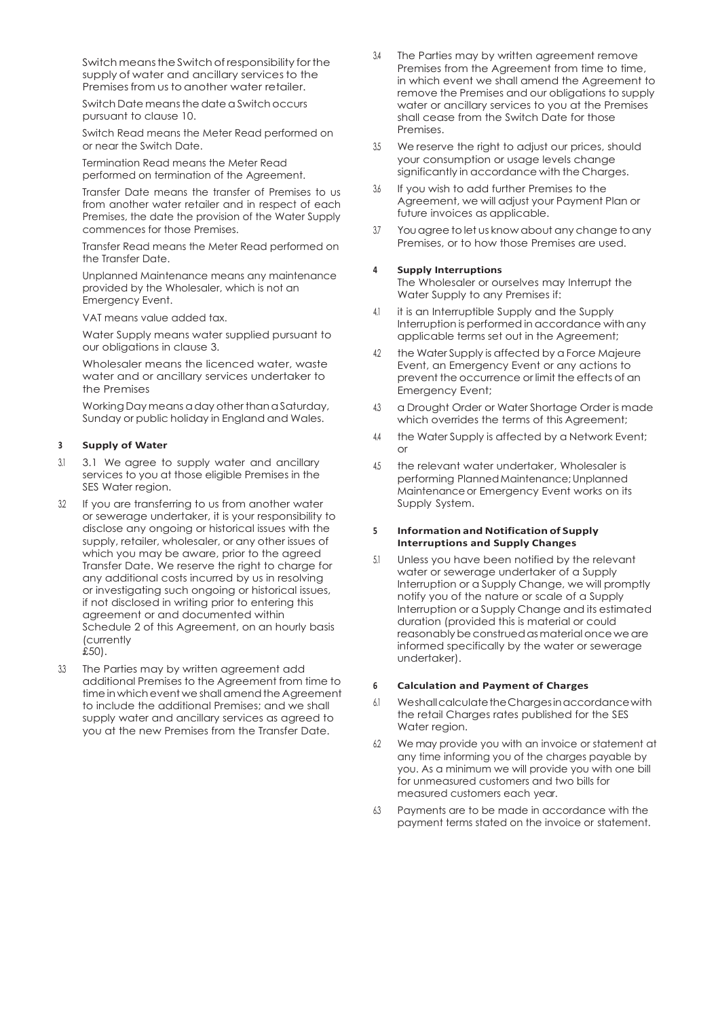Switch meansthe Switch of responsibility forthe supply of water and ancillary services to the Premises from us to another water retailer.

Switch Date meansthe date aSwitch occurs pursuant to clause 10.

Switch Read means the Meter Read performed on or near the Switch Date.

Termination Read means the Meter Read performed on termination of the Agreement.

Transfer Date means the transfer of Premises to us from another water retailer and in respect of each Premises, the date the provision of the Water Supply commences for those Premises.

Transfer Read means the Meter Read performed on the Transfer Date.

Unplanned Maintenance means any maintenance provided by the Wholesaler, which is not an Emergency Event.

VAT means value added tax.

Water Supply means water supplied pursuant to our obligations in clause 3.

Wholesaler means the licenced water, waste water and or ancillary services undertaker to the Premises

Working Day means a day other than a Saturday, Sunday or public holiday in England and Wales.

#### **<sup>3</sup> Supply of Water**

- 3.1 3.1 We agree to supply water and ancillary services to you at those eligible Premises in the SES Water region.
- 32 If you are transferring to us from another water or sewerage undertaker, it is your responsibility to disclose any ongoing or historical issues with the supply, retailer, wholesaler, or any other issues of which you may be aware, prior to the agreed Transfer Date. We reserve the right to charge for any additional costs incurred by us in resolving or investigating such ongoing or historical issues, if not disclosed in writing prior to entering this agreement or and documented within Schedule 2 of this Agreement, on an hourly basis (currently £50).
- 3.3 The Parties may by written agreement add additional Premises to the Agreement from time to time in which event we shall amend the Agreement to include the additional Premises; and we shall supply water and ancillary services as agreed to you at the new Premises from the Transfer Date.
- 3.4 The Parties may by written agreement remove Premises from the Agreement from time to time. in which event we shall amend the Agreement to remove the Premises and our obligations to supply water or ancillary services to you at the Premises shall cease from the Switch Date for those Premises.
- 3.5 We reserve the right to adjust our prices, should your consumption or usage levels change significantly in accordance with the Charges.
- 3.6 If you wish to add further Premises to the Agreement, we will adjust your Payment Plan or future invoices as applicable.
- 37 You agree to let us know about any change to any Premises, or to how those Premises are used.

#### **<sup>4</sup> Supply Interruptions**

The Wholesaler or ourselves may Interrupt the Water Supply to any Premises if:

- 4.1 it is an Interruptible Supply and the Supply Interruption is performed in accordance with any applicable terms set out in the Agreement;
- 42 the Water Supply is affected by a Force Majeure Event, an Emergency Event or any actions to prevent the occurrence or limit the effects of an Emergency Event;
- 4.3 a Drought Order or Water Shortage Order is made which overrides the terms of this Agreement;
- 4.4 the Water Supply is affected by a Network Event; or
- 4.5 the relevant water undertaker, Wholesaler is performing PlannedMaintenance;Unplanned Maintenance or Emergency Event works on its Supply System.

#### **<sup>5</sup> Information and Notification of Supply Interruptions and Supply Changes**

5.1 Unless you have been notified by the relevant water or sewerage undertaker of a Supply Interruption or a Supply Change, we will promptly notify you of the nature or scale of a Supply Interruption or a Supply Change and its estimated duration (provided this is material or could reasonably be construed as material once we are informed specifically by the water or sewerage undertaker).

#### **<sup>6</sup> Calculation and Payment of Charges**

- 6.1 WeshallcalculatetheChargesinaccordancewith the retail Charges rates published for the SES Water region.
- 6.2 We may provide you with an invoice or statement at any time informing you of the charges payable by you. As a minimum we will provide you with one bill for unmeasured customers and two bills for measured customers each year.
- 6.3 Payments are to be made in accordance with the payment terms stated on the invoice or statement.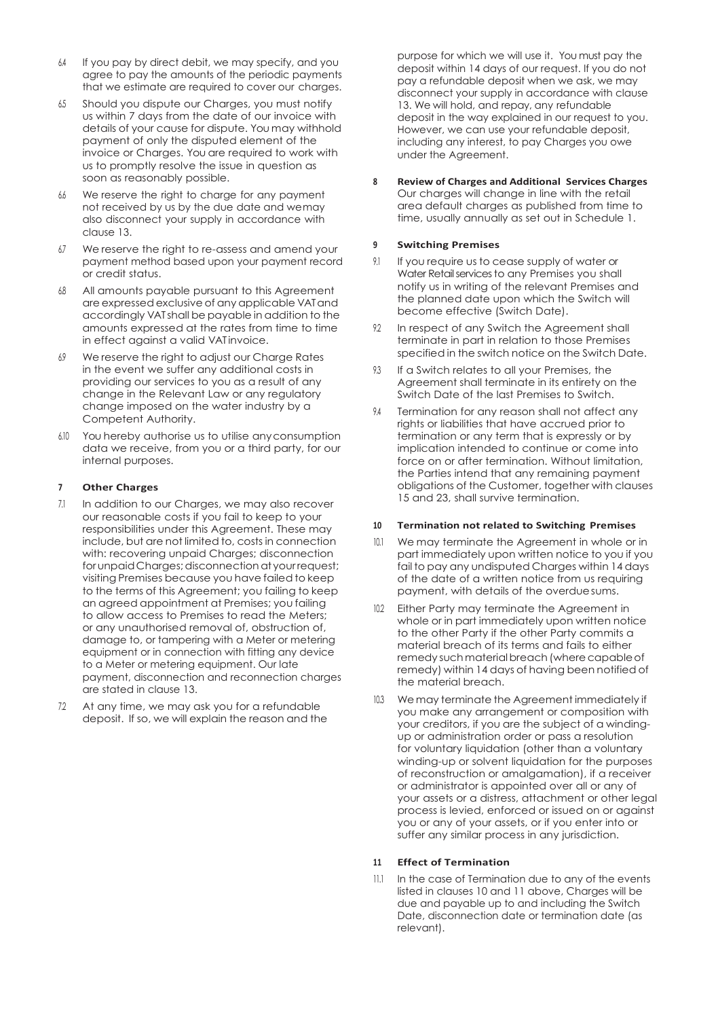- 64 If you pay by direct debit, we may specify, and you agree to pay the amounts of the periodic payments that we estimate are required to cover our charges.
- 6.5 Should you dispute our Charges, you must notify us within 7 days from the date of our invoice with details of your cause for dispute. You may withhold payment of only the disputed element of the invoice or Charges. You are required to work with us to promptly resolve the issue in question as soon as reasonably possible.
- 6.6 We reserve the right to charge for any payment not received by us by the due date and wemay also disconnect your supply in accordance with clause 13.
- 6.7 We reserve the right to re-assess and amend your payment method based upon your payment record or credit status.
- 6.8 All amounts payable pursuant to this Agreement are expressedexclusive of any applicable VATand accordingly VAT shall be payable in addition to the amounts expressed at the rates from time to time in effect against a valid VAT invoice.
- 6.9 We reserve the right to adjust our Charge Rates in the event we suffer any additional costs in providing our services to you as a result of any change in the Relevant Law or any regulatory change imposed on the water industry by a Competent Authority.
- 6.10 You hereby authorise us to utilise anyconsumption data we receive, from you or a third party, for our internal purposes.

#### **<sup>7</sup> Other Charges**

- 7.1 In addition to our Charges, we may also recover our reasonable costs if you fail to keep to your responsibilities under this Agreement. These may include, but are not limited to, costs in connection with: recovering unpaid Charges; disconnection for unpaid Charges; disconnection at your request; visiting Premises because you have failed to keep to the terms of this Agreement; you failing to keep an agreed appointment at Premises; you failing to allow access to Premises to read the Meters; or any unauthorised removal of, obstruction of, damage to, or tampering with a Meter or metering equipment or in connection with fitting any device to a Meter or metering equipment. Our late payment, disconnection and reconnection charges are stated in clause 13.
- 72 At any time, we may ask you for a refundable deposit. If so, we will explain the reason and the

purpose for which we will use it. You must pay the deposit within 14 days of our request. If you do not pay a refundable deposit when we ask, we may disconnect your supply in accordance with clause 13. We will hold, and repay, any refundable deposit in the way explained in our request to you. However, we can use your refundable deposit, including any interest, to pay Charges you owe under the Agreement.

**8 Review of Charges and Additional Services Charges** Our charges will change in line with the retail area default charges as published from time to time, usually annually as set out in Schedule 1.

### **<sup>9</sup> Switching Premises**

- 9.1 If you require us to cease supply of water or Water Retail services to any Premises you shall notify us in writing of the relevant Premises and the planned date upon which the Switch will become effective (Switch Date).
- 9.2 In respect of any Switch the Agreement shall terminate in part in relation to those Premises specified in the switch notice on the Switch Date.
- 93 If a Switch relates to all your Premises, the Agreement shall terminate in its entirety on the Switch Date of the last Premises to Switch.
- 9.4 Termination for any reason shall not affect any rights or liabilities that have accrued prior to termination or any term that is expressly or by implication intended to continue or come into force on or after termination. Without limitation, the Parties intend that any remaining payment obligations of the Customer, together with clauses 15 and 23, shall survive termination.

#### **<sup>10</sup> Termination not related to Switching Premises**

- 10.1 We may terminate the Agreement in whole or in part immediately upon written notice to you if you fail to pay any undisputed Charges within 14 days of the date of a written notice from us requiring payment, with details of the overdue sums.
- 10.2 Either Party may terminate the Agreement in whole or in part immediately upon written notice to the other Party if the other Party commits a material breach of its terms and fails to either remedy such material breach (where capable of remedy) within 14 days of having been notified of the material breach.
- 10.3 Wemay terminate the Agreement immediately if you make any arrangement or composition with your creditors, if you are the subject of a windingup or administration order or pass a resolution for voluntary liquidation (other than a voluntary winding-up or solvent liquidation for the purposes of reconstruction or amalgamation), if a receiver or administrator is appointed over all or any of your assets or a distress, attachment or other legal process is levied, enforced or issued on or against you or any of your assets, or if you enter into or suffer any similar process in any jurisdiction.

#### **<sup>11</sup> Effect of Termination**

11.1 In the case of Termination due to any of the events listed in clauses 10 and 11 above, Charges will be due and payable up to and including the Switch Date, disconnection date or termination date (as relevant).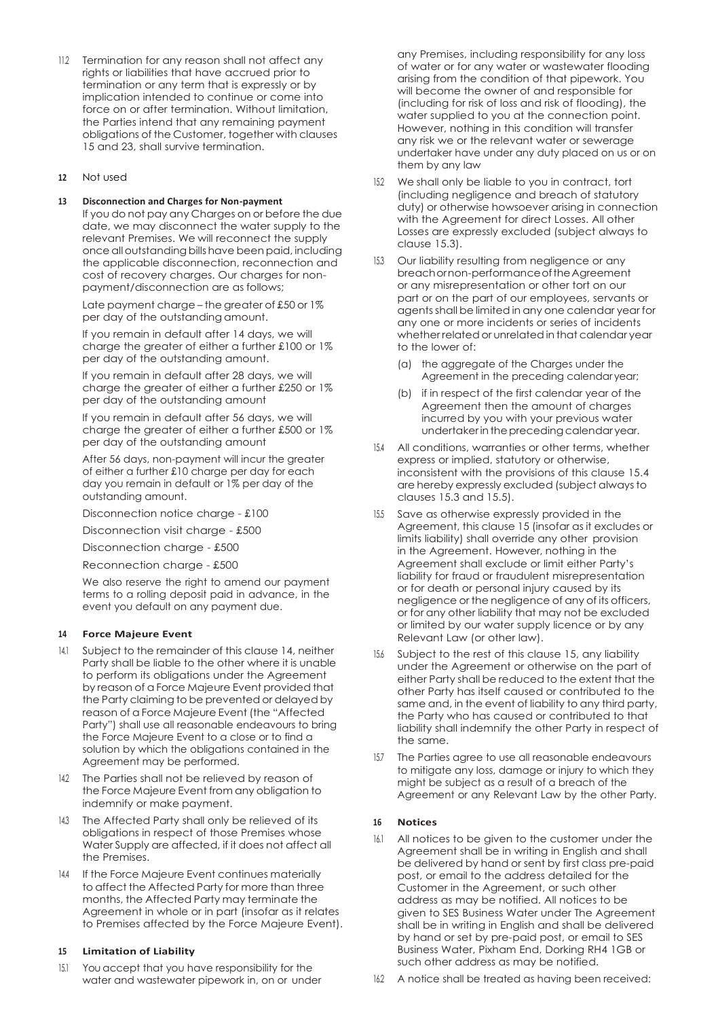11.2 Termination for any reason shall not affect any rights or liabilities that have accrued prior to termination or any term that is expressly or by implication intended to continue or come into force on or after termination. Without limitation the Parties intend that any remaining payment obligations of the Customer, together with clauses 15 and 23, shall survive termination.

# **12** Not used

#### **13 Disconnection and Charges for Non-payment**

If you do not pay any Charges on or before the due date, we may disconnect the water supply to the relevant Premises. We will reconnect the supply once alloutstandingbillshave beenpaid, including the applicable disconnection, reconnection and cost of recovery charges. Our charges for nonpayment/disconnection are as follows;

Late payment charge – the greater of £50 or 1% per day of the outstanding amount.

If you remain in default after 14 days, we will charge the greater of either a further £100 or 1% per day of the outstanding amount.

If you remain in default after 28 days, we will charge the greater of either a further £250 or 1% per day of the outstanding amount

If you remain in default after 56 days, we will charge the greater of either a further £500 or 1% per day of the outstanding amount

After 56 days, non-payment will incur the greater of either a further £10 charge per day for each day you remain in default or 1% per day of the outstanding amount.

Disconnection notice charge - £100

Disconnection visit charge - £500

Disconnection charge - £500

Reconnection charge - £500

We also reserve the right to amend our payment terms to a rolling deposit paid in advance, in the event you default on any payment due.

# **<sup>14</sup> Force Majeure Event**

- 14.1 Subject to the remainder of this clause 14, neither Party shall be liable to the other where it is unable to perform its obligations under the Agreement by reason of a Force Majeure Event provided that the Party claiming to be prevented or delayed by reason of a Force Majeure Event (the "Affected Party") shall use all reasonable endeavours to bring the Force Majeure Event to a close or to find a solution by which the obligations contained in the Agreement may be performed.
- 142 The Parties shall not be relieved by reason of the Force Majeure Event from any obligation to indemnify or make payment.
- 14.3 The Affected Party shall only be relieved of its obligations in respect of those Premises whose Water Supply are affected, if it does not affect all the Premises.
- 144 If the Force Majeure Event continues materially to affect the Affected Party for more than three months, the Affected Party may terminate the Agreement in whole or in part (insofar as it relates to Premises affected by the Force Majeure Event).

# **<sup>15</sup> Limitation of Liability**

15.1 You accept that you have responsibility for the water and wastewater pipework in, on or under

any Premises, including responsibility for any loss of water or for any water or wastewater flooding arising from the condition of that pipework. You will become the owner of and responsible for (including for risk of loss and risk of flooding), the water supplied to you at the connection point. However, nothing in this condition will transfer any risk we or the relevant water or sewerage undertaker have under any duty placed on us or on them by any law

- 15.2 We shall only be liable to you in contract, tort (including negligence and breach of statutory duty) or otherwise howsoever arising in connection with the Agreement for direct Losses. All other Losses are expressly excluded (subject always to clause 15.3).
- 15.3 Our liability resulting from negligence or any breachornon-performanceoftheAgreement or any misrepresentation or other tort on our part or on the part of our employees, servants or agentsshall be limited in any one calendar year for any one or more incidents or series of incidents whether relatedor unrelated in that calendar year to the lower of:
	- (a) the aggregate of the Charges under the Agreement in the preceding calendar year;
	- (b) if in respect of the first calendar year of the Agreement then the amount of charges incurred by you with your previous water undertaker in the preceding calendar year.
- 15.4 All conditions, warranties or other terms, whether express or implied, statutory or otherwise, inconsistent with the provisions of this clause 15.4 are hereby expressly excluded (subject always to clauses 15.3 and 15.5).
- 15.5 Save as otherwise expressly provided in the Agreement, this clause 15 (insofar as it excludes or limits liability) shall override any other provision in the Agreement. However, nothing in the Agreement shall exclude or limit either Party's liability for fraud or fraudulent misrepresentation or for death or personal injury caused by its negligence or the negligence of any of its officers, or for any other liability that may not be excluded or limited by our water supply licence or by any Relevant Law (or other law).
- 15.6 Subject to the rest of this clause 15, any liability under the Agreement or otherwise on the part of either Party shall be reduced to the extent that the other Party has itself caused or contributed to the same and, in the event of liability to any third party, the Party who has caused or contributed to that liability shall indemnify the other Party in respect of the same.
- 157 The Parties agree to use all reasonable endeavours to mitigate any loss, damage or injury to which they might be subject as a result of a breach of the Agreement or any Relevant Law by the other Party.

#### **<sup>16</sup> Notices**

- 16.1 All notices to be given to the customer under the Agreement shall be in writing in English and shall be delivered by hand or sent by first class pre-paid post, or email to the address detailed for the Customer in the Agreement, or such other address as may be notified. All notices to be given to SES Business Water under The Agreement shall be in writing in English and shall be delivered by hand or set by pre-paid post, or email to SES Business Water, Pixham End, Dorking RH4 1GB or such other address as may be notified.
- 16.2 A notice shall be treated as having been received: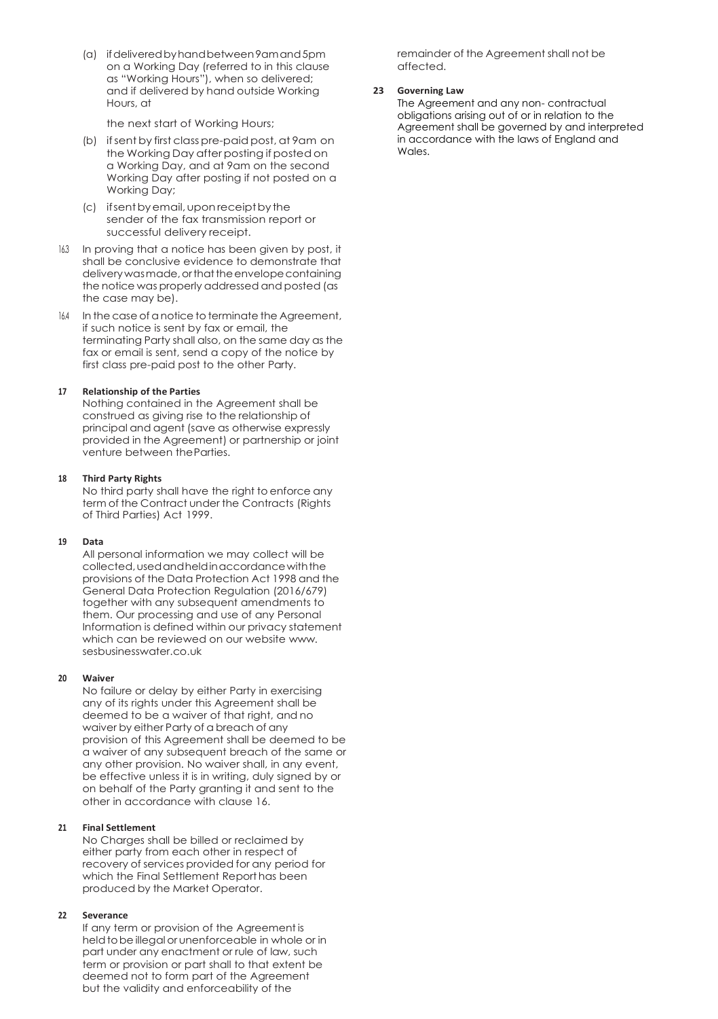(a) ifdeliveredbyhandbetween9amand5pm on a Working Day (referred to in this clause as "Working Hours"), when so delivered; and if delivered by hand outside Working Hours, at

the next start of Working Hours;

- (b) ifsentby first classpre-paidpost, at 9am on the Working Day after posting if posted on a Working Day, and at 9am on the second Working Day after posting if not posted on a Working Day;
- (c) ifsentbyemail,uponreceiptbythe sender of the fax transmission report or successful delivery receipt.
- 16.3 In proving that a notice has been given by post, it shall be conclusive evidence to demonstrate that delivery was made, or that the envelope containing the notice was properly addressed and posted (as the case may be).
- 16.4 In the case of anotice to terminate the Agreement, if such notice is sent by fax or email, the terminating Party shall also, on the same day as the fax or email is sent, send a copy of the notice by first class pre-paid post to the other Party.

#### **17 Relationship of the Parties**

Nothing contained in the Agreement shall be construed as giving rise to the relationship of principal and agent (save as otherwise expressly provided in the Agreement) or partnership or joint venture between theParties.

#### **18 Third Party Rights**

No third party shall have the right to enforce any term of the Contract under the Contracts (Rights of Third Parties) Act 1999.

#### **19 Data**

All personal information we may collect will be collected,usedandheldinaccordancewiththe provisions of the Data Protection Act 1998 and the General Data Protection Regulation (2016/679) together with any subsequent amendments to them. Our processing and use of any Personal Information is defined within our privacy statement which can be reviewed on our websit[e www.](http://www/) sesbusinesswater.co.uk

#### **20 Waiver**

No failure or delay by either Party in exercising any of its rights under this Agreement shall be deemed to be a waiver of that right, and no waiver by either Party of a breach of any provision of this Agreement shall be deemed to be a waiver of any subsequent breach of the same or any other provision. No waiver shall, in any event, be effective unless it is in writing, duly signed by or on behalf of the Party granting it and sent to the other in accordance with clause 16.

#### **21 Final Settlement**

No Charges shall be billed or reclaimed by either party from each other in respect of recovery of services provided for any period for which the Final Settlement Report has been produced by the Market Operator.

# **22 Severance**

If any term or provision of the Agreement is held to be illegal or unenforceable in whole or in part under any enactment or rule of law, such term or provision or part shall to that extent be deemed not to form part of the Agreement but the validity and enforceability of the

remainder of the Agreement shall not be affected.

# **23 Governing Law**

The Agreement and any non- contractual obligations arising out of or in relation to the Agreement shall be governed by and interpreted in accordance with the laws of England and Wales.